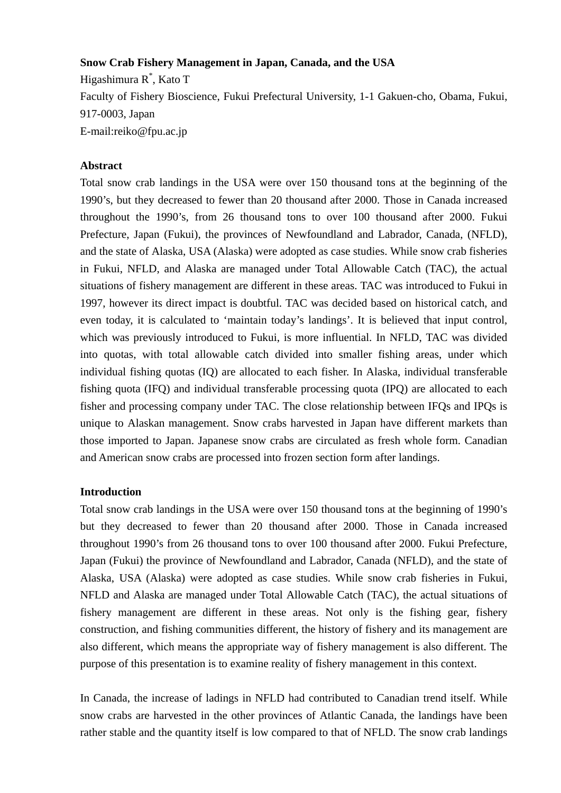### **Snow Crab Fishery Management in Japan, Canada, and the USA**

Higashimura R\* , Kato T Faculty of Fishery Bioscience, Fukui Prefectural University, 1-1 Gakuen-cho, Obama, Fukui, 917-0003, Japan E-mail:reiko@fpu.ac.jp

## **Abstract**

Total snow crab landings in the USA were over 150 thousand tons at the beginning of the 1990's, but they decreased to fewer than 20 thousand after 2000. Those in Canada increased throughout the 1990's, from 26 thousand tons to over 100 thousand after 2000. Fukui Prefecture, Japan (Fukui), the provinces of Newfoundland and Labrador, Canada, (NFLD), and the state of Alaska, USA (Alaska) were adopted as case studies. While snow crab fisheries in Fukui, NFLD, and Alaska are managed under Total Allowable Catch (TAC), the actual situations of fishery management are different in these areas. TAC was introduced to Fukui in 1997, however its direct impact is doubtful. TAC was decided based on historical catch, and even today, it is calculated to 'maintain today's landings'. It is believed that input control, which was previously introduced to Fukui, is more influential. In NFLD, TAC was divided into quotas, with total allowable catch divided into smaller fishing areas, under which individual fishing quotas (IQ) are allocated to each fisher. In Alaska, individual transferable fishing quota (IFQ) and individual transferable processing quota (IPQ) are allocated to each fisher and processing company under TAC. The close relationship between IFQs and IPQs is unique to Alaskan management. Snow crabs harvested in Japan have different markets than those imported to Japan. Japanese snow crabs are circulated as fresh whole form. Canadian and American snow crabs are processed into frozen section form after landings.

#### **Introduction**

Total snow crab landings in the USA were over 150 thousand tons at the beginning of 1990's but they decreased to fewer than 20 thousand after 2000. Those in Canada increased throughout 1990's from 26 thousand tons to over 100 thousand after 2000. Fukui Prefecture, Japan (Fukui) the province of Newfoundland and Labrador, Canada (NFLD), and the state of Alaska, USA (Alaska) were adopted as case studies. While snow crab fisheries in Fukui, NFLD and Alaska are managed under Total Allowable Catch (TAC), the actual situations of fishery management are different in these areas. Not only is the fishing gear, fishery construction, and fishing communities different, the history of fishery and its management are also different, which means the appropriate way of fishery management is also different. The purpose of this presentation is to examine reality of fishery management in this context.

In Canada, the increase of ladings in NFLD had contributed to Canadian trend itself. While snow crabs are harvested in the other provinces of Atlantic Canada, the landings have been rather stable and the quantity itself is low compared to that of NFLD. The snow crab landings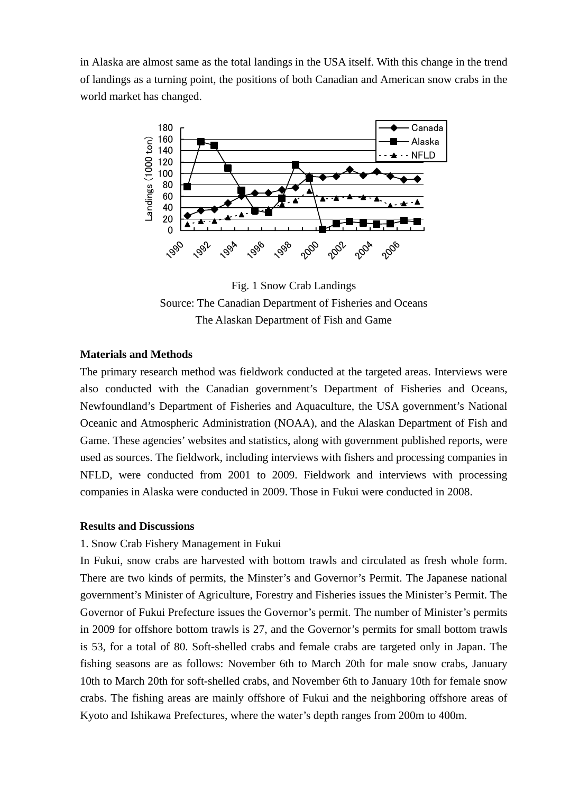in Alaska are almost same as the total landings in the USA itself. With this change in the trend of landings as a turning point, the positions of both Canadian and American snow crabs in the world market has changed.



Fig. 1 Snow Crab Landings Source: The Canadian Department of Fisheries and Oceans The Alaskan Department of Fish and Game

# **Materials and Methods**

The primary research method was fieldwork conducted at the targeted areas. Interviews were also conducted with the Canadian government's Department of Fisheries and Oceans, Newfoundland's Department of Fisheries and Aquaculture, the USA government's National Oceanic and Atmospheric Administration (NOAA), and the Alaskan Department of Fish and Game. These agencies' websites and statistics, along with government published reports, were used as sources. The fieldwork, including interviews with fishers and processing companies in NFLD, were conducted from 2001 to 2009. Fieldwork and interviews with processing companies in Alaska were conducted in 2009. Those in Fukui were conducted in 2008.

### **Results and Discussions**

### 1. Snow Crab Fishery Management in Fukui

In Fukui, snow crabs are harvested with bottom trawls and circulated as fresh whole form. There are two kinds of permits, the Minster's and Governor's Permit. The Japanese national government's Minister of Agriculture, Forestry and Fisheries issues the Minister's Permit. The Governor of Fukui Prefecture issues the Governor's permit. The number of Minister's permits in 2009 for offshore bottom trawls is 27, and the Governor's permits for small bottom trawls is 53, for a total of 80. Soft-shelled crabs and female crabs are targeted only in Japan. The fishing seasons are as follows: November 6th to March 20th for male snow crabs, January 10th to March 20th for soft-shelled crabs, and November 6th to January 10th for female snow crabs. The fishing areas are mainly offshore of Fukui and the neighboring offshore areas of Kyoto and Ishikawa Prefectures, where the water's depth ranges from 200m to 400m.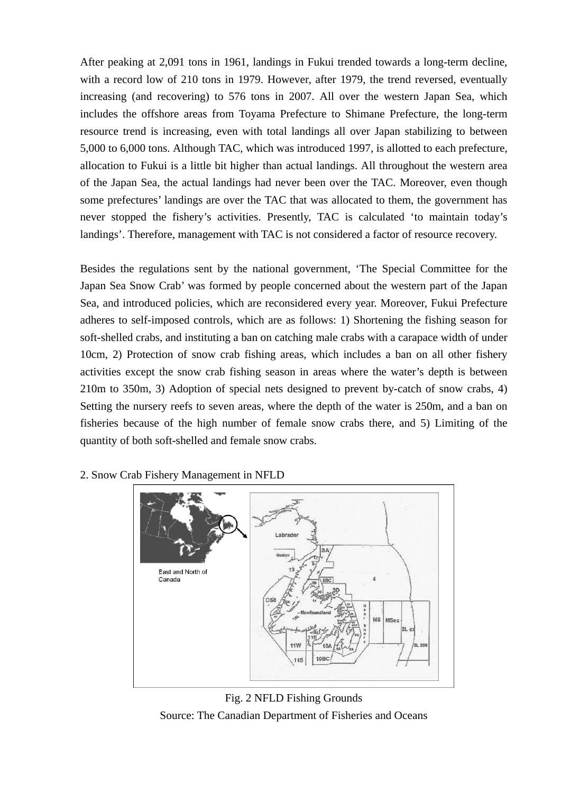After peaking at 2,091 tons in 1961, landings in Fukui trended towards a long-term decline, with a record low of 210 tons in 1979. However, after 1979, the trend reversed, eventually increasing (and recovering) to 576 tons in 2007. All over the western Japan Sea, which includes the offshore areas from Toyama Prefecture to Shimane Prefecture, the long-term resource trend is increasing, even with total landings all over Japan stabilizing to between 5,000 to 6,000 tons. Although TAC, which was introduced 1997, is allotted to each prefecture, allocation to Fukui is a little bit higher than actual landings. All throughout the western area of the Japan Sea, the actual landings had never been over the TAC. Moreover, even though some prefectures' landings are over the TAC that was allocated to them, the government has never stopped the fishery's activities. Presently, TAC is calculated 'to maintain today's landings'. Therefore, management with TAC is not considered a factor of resource recovery.

Besides the regulations sent by the national government, 'The Special Committee for the Japan Sea Snow Crab' was formed by people concerned about the western part of the Japan Sea, and introduced policies, which are reconsidered every year. Moreover, Fukui Prefecture adheres to self-imposed controls, which are as follows: 1) Shortening the fishing season for soft-shelled crabs, and instituting a ban on catching male crabs with a carapace width of under 10cm, 2) Protection of snow crab fishing areas, which includes a ban on all other fishery activities except the snow crab fishing season in areas where the water's depth is between 210m to 350m, 3) Adoption of special nets designed to prevent by-catch of snow crabs, 4) Setting the nursery reefs to seven areas, where the depth of the water is 250m, and a ban on fisheries because of the high number of female snow crabs there, and 5) Limiting of the quantity of both soft-shelled and female snow crabs.



2. Snow Crab Fishery Management in NFLD

Fig. 2 NFLD Fishing Grounds Source: The Canadian Department of Fisheries and Oceans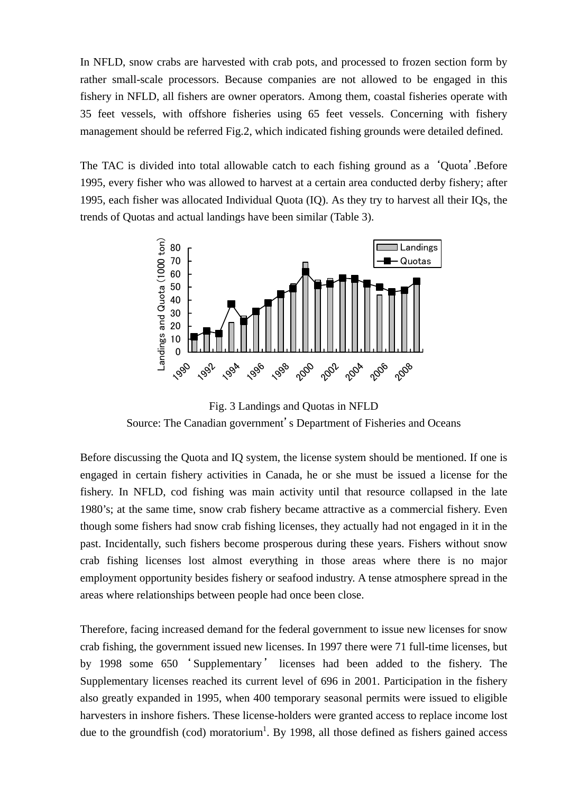In NFLD, snow crabs are harvested with crab pots, and processed to frozen section form by rather small-scale processors. Because companies are not allowed to be engaged in this fishery in NFLD, all fishers are owner operators. Among them, coastal fisheries operate with 35 feet vessels, with offshore fisheries using 65 feet vessels. Concerning with fishery management should be referred Fig.2, which indicated fishing grounds were detailed defined.

The TAC is divided into total allowable catch to each fishing ground as a 'Quota'.Before 1995, every fisher who was allowed to harvest at a certain area conducted derby fishery; after 1995, each fisher was allocated Individual Quota (IQ). As they try to harvest all their IQs, the trends of Quotas and actual landings have been similar (Table 3).



Fig. 3 Landings and Quotas in NFLD Source: The Canadian government's Department of Fisheries and Oceans

Before discussing the Quota and IQ system, the license system should be mentioned. If one is engaged in certain fishery activities in Canada, he or she must be issued a license for the fishery. In NFLD, cod fishing was main activity until that resource collapsed in the late 1980's; at the same time, snow crab fishery became attractive as a commercial fishery. Even though some fishers had snow crab fishing licenses, they actually had not engaged in it in the past. Incidentally, such fishers become prosperous during these years. Fishers without snow crab fishing licenses lost almost everything in those areas where there is no major employment opportunity besides fishery or seafood industry. A tense atmosphere spread in the areas where relationships between people had once been close.

Therefore, facing increased demand for the federal government to issue new licenses for snow crab fishing, the government issued new licenses. In 1997 there were 71 full-time licenses, but by 1998 some 650 ' Supplementary ' licenses had been added to the fishery. The Supplementary licenses reached its current level of 696 in 2001. Participation in the fishery also greatly expanded in 1995, when 400 temporary seasonal permits were issued to eligible harvesters in inshore fishers. These license-holders were granted access to replace income lost due to the groundfish (cod) moratorium<sup>1</sup>. By 1998, all those defined as fishers gained access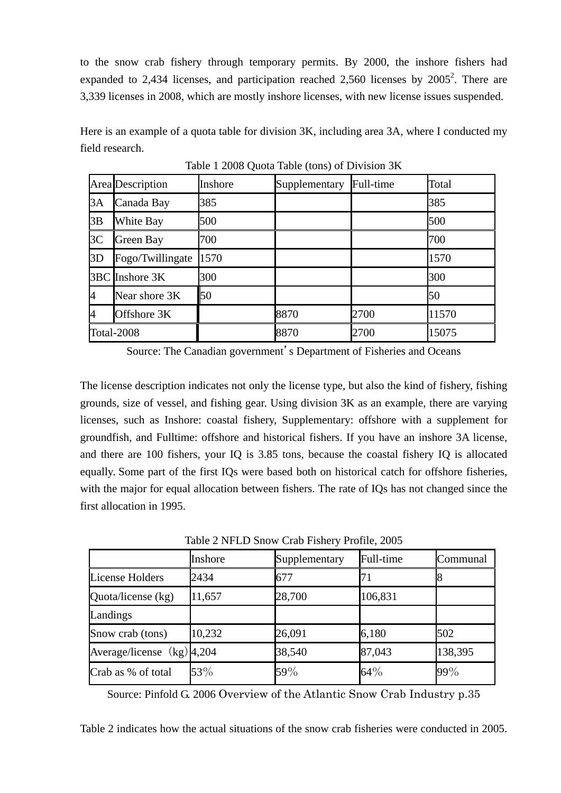to the snow crab fishery through temporary permits. By 2000, the inshore fishers had expanded to 2,434 licenses, and participation reached 2,560 licenses by  $2005^2$ . There are 3,339 licenses in 2008, which are mostly inshore licenses, with new license issues suspended.

Here is an example of a quota table for division 3K, including area 3A, where I conducted my field research.

|            | Area Description | Inshore | Supplementary | Full-time | Total |
|------------|------------------|---------|---------------|-----------|-------|
| 3A         | Canada Bay       | 385     |               |           | 385   |
| 3B         | White Bay        | 500     |               |           | 500   |
| 3C         | Green Bay        | 700     |               |           | 700   |
| 3D         | Fogo/Twillingate | 1570    |               |           | 1570  |
|            | 3BC Inshore 3K   | 300     |               |           | 300   |
| 4          | Near shore 3K    | 50      |               |           | 50    |
| 4          | Offshore 3K      |         | 8870          | 2700      | 11570 |
| Total-2008 |                  |         | 8870          | 2700      | 15075 |

Table 1 2008 Quota Table (tons) of Division 3K

Source: The Canadian government's Department of Fisheries and Oceans

The license description indicates not only the license type, but also the kind of fishery, fishing grounds, size of vessel, and fishing gear. Using division 3K as an example, there are varying licenses, such as Inshore: coastal fishery, Supplementary: offshore with a supplement for groundfish, and Fulltime: offshore and historical fishers. If you have an inshore 3A license, and there are 100 fishers, your IQ is 3.85 tons, because the coastal fishery IQ is allocated equally. Some part of the first IQs were based both on historical catch for offshore fisheries, with the major for equal allocation between fishers. The rate of IQs has not changed since the first allocation in 1995.

Table 2 NFLD Snow Crab Fishery Profile, 2005

|                              | Inshore | Supplementary | Full-time | Communal |  |
|------------------------------|---------|---------------|-----------|----------|--|
| License Holders              | 2434    | 677           |           |          |  |
| Quota/license (kg)           | 11,657  | 28,700        | 106,831   |          |  |
| Landings                     |         |               |           |          |  |
| Snow crab (tons)             | 10,232  | 26,091        | 6,180     | 502      |  |
| Average/license $(kg)$ 4,204 |         | 38,540        | 87,043    | 138,395  |  |
| Crab as % of total           | 53%     | 59%           | 64%       | 99%      |  |

Source: Pinfold G. 2006 Overview of the Atlantic Snow Crab Industry p.35

Table 2 indicates how the actual situations of the snow crab fisheries were conducted in 2005.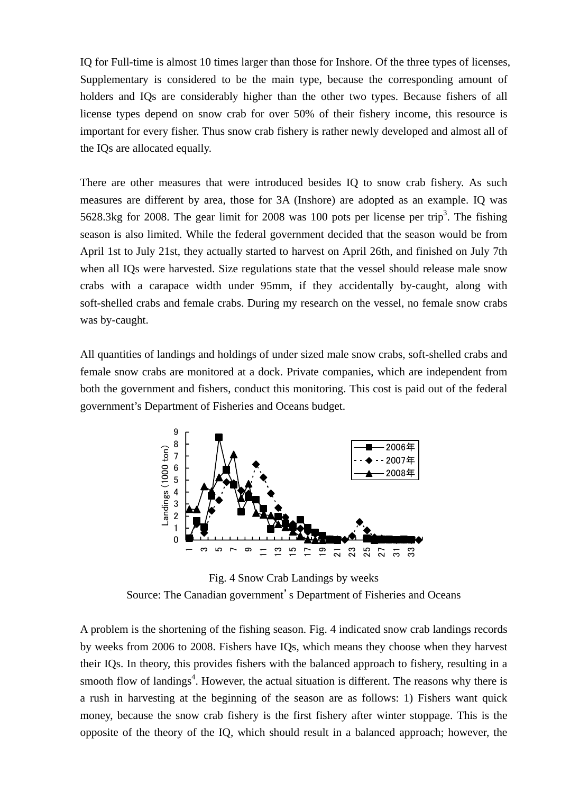IQ for Full-time is almost 10 times larger than those for Inshore. Of the three types of licenses, Supplementary is considered to be the main type, because the corresponding amount of holders and IQs are considerably higher than the other two types. Because fishers of all license types depend on snow crab for over 50% of their fishery income, this resource is important for every fisher. Thus snow crab fishery is rather newly developed and almost all of the IQs are allocated equally.

There are other measures that were introduced besides IQ to snow crab fishery. As such measures are different by area, those for 3A (Inshore) are adopted as an example. IQ was 5628.3kg for 2008. The gear limit for 2008 was 100 pots per license per trip<sup>3</sup>. The fishing season is also limited. While the federal government decided that the season would be from April 1st to July 21st, they actually started to harvest on April 26th, and finished on July 7th when all IQs were harvested. Size regulations state that the vessel should release male snow crabs with a carapace width under 95mm, if they accidentally by-caught, along with soft-shelled crabs and female crabs. During my research on the vessel, no female snow crabs was by-caught.

All quantities of landings and holdings of under sized male snow crabs, soft-shelled crabs and female snow crabs are monitored at a dock. Private companies, which are independent from both the government and fishers, conduct this monitoring. This cost is paid out of the federal government's Department of Fisheries and Oceans budget.



Fig. 4 Snow Crab Landings by weeks Source: The Canadian government's Department of Fisheries and Oceans

A problem is the shortening of the fishing season. Fig. 4 indicated snow crab landings records by weeks from 2006 to 2008. Fishers have IQs, which means they choose when they harvest their IQs. In theory, this provides fishers with the balanced approach to fishery, resulting in a smooth flow of landings<sup>4</sup>. However, the actual situation is different. The reasons why there is a rush in harvesting at the beginning of the season are as follows: 1) Fishers want quick money, because the snow crab fishery is the first fishery after winter stoppage. This is the opposite of the theory of the IQ, which should result in a balanced approach; however, the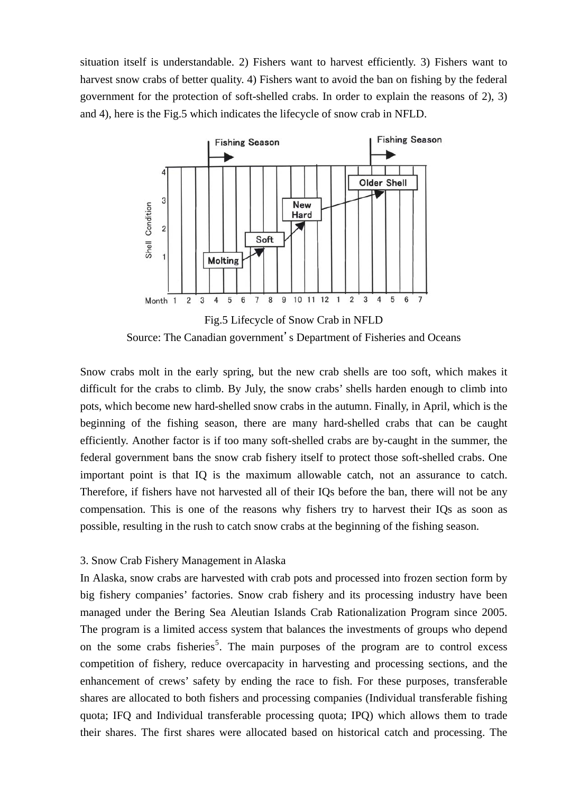situation itself is understandable. 2) Fishers want to harvest efficiently. 3) Fishers want to harvest snow crabs of better quality. 4) Fishers want to avoid the ban on fishing by the federal government for the protection of soft-shelled crabs. In order to explain the reasons of 2), 3) and 4), here is the Fig.5 which indicates the lifecycle of snow crab in NFLD.



Source: The Canadian government's Department of Fisheries and Oceans

Snow crabs molt in the early spring, but the new crab shells are too soft, which makes it difficult for the crabs to climb. By July, the snow crabs' shells harden enough to climb into pots, which become new hard-shelled snow crabs in the autumn. Finally, in April, which is the beginning of the fishing season, there are many hard-shelled crabs that can be caught efficiently. Another factor is if too many soft-shelled crabs are by-caught in the summer, the federal government bans the snow crab fishery itself to protect those soft-shelled crabs. One important point is that IQ is the maximum allowable catch, not an assurance to catch. Therefore, if fishers have not harvested all of their IQs before the ban, there will not be any compensation. This is one of the reasons why fishers try to harvest their IQs as soon as possible, resulting in the rush to catch snow crabs at the beginning of the fishing season.

#### 3. Snow Crab Fishery Management in Alaska

In Alaska, snow crabs are harvested with crab pots and processed into frozen section form by big fishery companies' factories. Snow crab fishery and its processing industry have been managed under the Bering Sea Aleutian Islands Crab Rationalization Program since 2005. The program is a limited access system that balances the investments of groups who depend on the some crabs fisheries<sup>5</sup>. The main purposes of the program are to control excess competition of fishery, reduce overcapacity in harvesting and processing sections, and the enhancement of crews' safety by ending the race to fish. For these purposes, transferable shares are allocated to both fishers and processing companies (Individual transferable fishing quota; IFQ and Individual transferable processing quota; IPQ) which allows them to trade their shares. The first shares were allocated based on historical catch and processing. The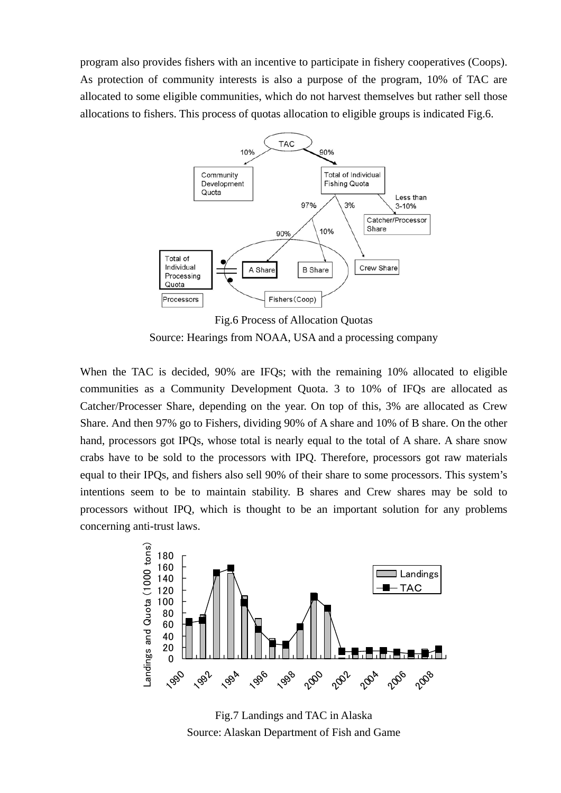program also provides fishers with an incentive to participate in fishery cooperatives (Coops). As protection of community interests is also a purpose of the program, 10% of TAC are allocated to some eligible communities, which do not harvest themselves but rather sell those allocations to fishers. This process of quotas allocation to eligible groups is indicated Fig.6.



Fig.6 Process of Allocation Quotas Source: Hearings from NOAA, USA and a processing company

When the TAC is decided, 90% are IFQs; with the remaining 10% allocated to eligible communities as a Community Development Quota. 3 to 10% of IFQs are allocated as Catcher/Processer Share, depending on the year. On top of this, 3% are allocated as Crew Share. And then 97% go to Fishers, dividing 90% of A share and 10% of B share. On the other hand, processors got IPQs, whose total is nearly equal to the total of A share. A share snow crabs have to be sold to the processors with IPQ. Therefore, processors got raw materials equal to their IPQs, and fishers also sell 90% of their share to some processors. This system's intentions seem to be to maintain stability. B shares and Crew shares may be sold to processors without IPQ, which is thought to be an important solution for any problems concerning anti-trust laws.



Fig.7 Landings and TAC in Alaska Source: Alaskan Department of Fish and Game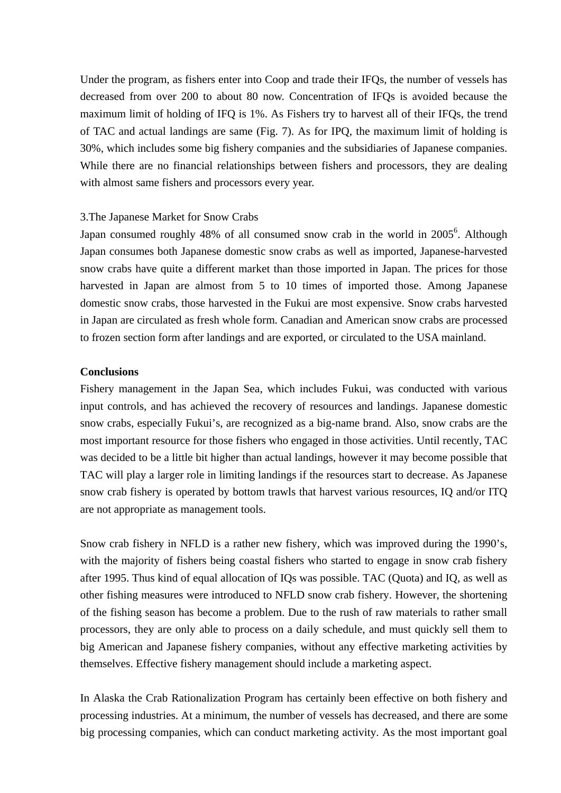Under the program, as fishers enter into Coop and trade their IFQs, the number of vessels has decreased from over 200 to about 80 now. Concentration of IFQs is avoided because the maximum limit of holding of IFQ is 1%. As Fishers try to harvest all of their IFQs, the trend of TAC and actual landings are same (Fig. 7). As for IPQ, the maximum limit of holding is 30%, which includes some big fishery companies and the subsidiaries of Japanese companies. While there are no financial relationships between fishers and processors, they are dealing with almost same fishers and processors every year.

#### 3.The Japanese Market for Snow Crabs

Japan consumed roughly 48% of all consumed snow crab in the world in 2005<sup>6</sup>. Although Japan consumes both Japanese domestic snow crabs as well as imported, Japanese-harvested snow crabs have quite a different market than those imported in Japan. The prices for those harvested in Japan are almost from 5 to 10 times of imported those. Among Japanese domestic snow crabs, those harvested in the Fukui are most expensive. Snow crabs harvested in Japan are circulated as fresh whole form. Canadian and American snow crabs are processed to frozen section form after landings and are exported, or circulated to the USA mainland.

### **Conclusions**

Fishery management in the Japan Sea, which includes Fukui, was conducted with various input controls, and has achieved the recovery of resources and landings. Japanese domestic snow crabs, especially Fukui's, are recognized as a big-name brand. Also, snow crabs are the most important resource for those fishers who engaged in those activities. Until recently, TAC was decided to be a little bit higher than actual landings, however it may become possible that TAC will play a larger role in limiting landings if the resources start to decrease. As Japanese snow crab fishery is operated by bottom trawls that harvest various resources, IQ and/or ITQ are not appropriate as management tools.

Snow crab fishery in NFLD is a rather new fishery, which was improved during the 1990's, with the majority of fishers being coastal fishers who started to engage in snow crab fishery after 1995. Thus kind of equal allocation of IQs was possible. TAC (Quota) and IQ, as well as other fishing measures were introduced to NFLD snow crab fishery. However, the shortening of the fishing season has become a problem. Due to the rush of raw materials to rather small processors, they are only able to process on a daily schedule, and must quickly sell them to big American and Japanese fishery companies, without any effective marketing activities by themselves. Effective fishery management should include a marketing aspect.

In Alaska the Crab Rationalization Program has certainly been effective on both fishery and processing industries. At a minimum, the number of vessels has decreased, and there are some big processing companies, which can conduct marketing activity. As the most important goal